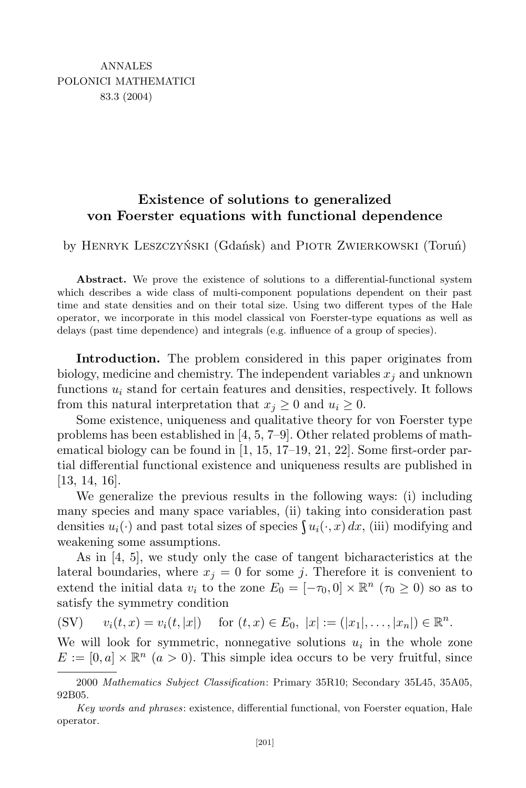## **Existence of solutions to generalized von Foerster equations with functional dependence**

by Henryk Leszczyński (Gdańsk) and Piotr Zwierkowski (Toruń)

**Abstract.** We prove the existence of solutions to a differential-functional system which describes a wide class of multi-component populations dependent on their past time and state densities and on their total size. Using two different types of the Hale operator, we incorporate in this model classical von Foerster-type equations as well as delays (past time dependence) and integrals (e.g. influence of a group of species).

**Introduction.** The problem considered in this paper originates from biology, medicine and chemistry. The independent variables  $x_j$  and unknown functions  $u_i$  stand for certain features and densities, respectively. It follows from this natural interpretation that  $x_j \geq 0$  and  $u_i \geq 0$ .

Some existence, uniqueness and qualitative theory for von Foerster type problems has been established in [4, 5, 7–9]. Other related problems of mathematical biology can be found in [1, 15, 17–19, 21, 22]. Some first-order partial differential functional existence and uniqueness results are published in [13, 14, 16].

We generalize the previous results in the following ways: (i) including many species and many space variables, (ii) taking into consideration past densities  $u_i(\cdot)$  and past total sizes of species  $\int u_i(\cdot, x) dx$ , (iii) modifying and weakening some assumptions.

As in [4, 5], we study only the case of tangent bicharacteristics at the lateral boundaries, where  $x_j = 0$  for some *j*. Therefore it is convenient to extend the initial data  $v_i$  to the zone  $E_0 = [-\tau_0, 0] \times \mathbb{R}^n$  ( $\tau_0 \ge 0$ ) so as to satisfy the symmetry condition

(SV) 
$$
v_i(t, x) = v_i(t, |x|)
$$
 for  $(t, x) \in E_0$ ,  $|x| := (|x_1|, \ldots, |x_n|) \in \mathbb{R}^n$ .

We will look for symmetric, nonnegative solutions  $u_i$  in the whole zone  $E := [0, a] \times \mathbb{R}^n$  ( $a > 0$ ). This simple idea occurs to be very fruitful, since

<sup>2000</sup> *Mathematics Subject Classification*: Primary 35R10; Secondary 35L45, 35A05, 92B05.

*Key words and phrases*: existence, differential functional, von Foerster equation, Hale operator.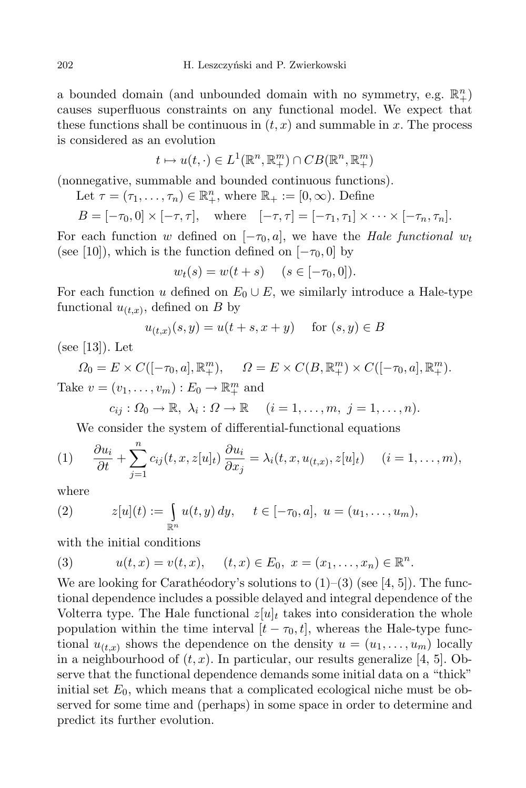a bounded domain (and unbounded domain with no symmetry, e.g.  $\mathbb{R}^n_+$ ) causes superfluous constraints on any functional model. We expect that these functions shall be continuous in  $(t, x)$  and summable in x. The process is considered as an evolution

$$
t \mapsto u(t, \cdot) \in L^1(\mathbb{R}^n, \mathbb{R}^m_+) \cap CB(\mathbb{R}^n, \mathbb{R}^m_+)
$$

(nonnegative, summable and bounded continuous functions).

Let 
$$
\tau = (\tau_1, \ldots, \tau_n) \in \mathbb{R}^n_+
$$
, where  $\mathbb{R}_+ := [0, \infty)$ . Define

$$
B = [-\tau_0, 0] \times [-\tau, \tau], \quad \text{where} \quad [-\tau, \tau] = [-\tau_1, \tau_1] \times \cdots \times [-\tau_n, \tau_n].
$$

For each function *w* defined on  $[-\tau_0, a]$ , we have the *Hale functional*  $w_t$ (see [10]), which is the function defined on  $[-\tau_0, 0]$  by

$$
w_t(s) = w(t + s)
$$
  $(s \in [-\tau_0, 0]).$ 

For each function *u* defined on  $E_0 \cup E$ , we similarly introduce a Hale-type functional  $u_{(t,x)}$ , defined on *B* by

$$
u_{(t,x)}(s,y) = u(t+s,x+y)
$$
 for  $(s,y) \in B$ 

(see [13]). Let

$$
\Omega_0 = E \times C([-{\tau_0}, a], \mathbb{R}_+^m), \qquad \Omega = E \times C(B, \mathbb{R}_+^m) \times C([-{\tau_0}, a], \mathbb{R}_+^m).
$$

Take  $v = (v_1, \ldots, v_m) : E_0 \to \mathbb{R}^m_+$  and

$$
c_{ij}: \Omega_0 \to \mathbb{R}, \ \lambda_i: \Omega \to \mathbb{R} \quad (i=1,\ldots,m, \ j=1,\ldots,n).
$$

We consider the system of differential-functional equations

(1) 
$$
\frac{\partial u_i}{\partial t} + \sum_{j=1}^n c_{ij}(t, x, z[u]_t) \frac{\partial u_i}{\partial x_j} = \lambda_i(t, x, u_{(t,x)}, z[u]_t) \quad (i = 1, ..., m),
$$

where

(2) 
$$
z[u](t) := \int_{\mathbb{R}^n} u(t, y) dy, \quad t \in [-\tau_0, a], \ u = (u_1, \dots, u_m),
$$

with the initial conditions

(3) 
$$
u(t,x) = v(t,x), \quad (t,x) \in E_0, \ x = (x_1, \ldots, x_n) \in \mathbb{R}^n.
$$

We are looking for Carathéodory's solutions to  $(1)$ – $(3)$  (see [4, 5]). The functional dependence includes a possible delayed and integral dependence of the Volterra type. The Hale functional  $z[u]_t$  takes into consideration the whole population within the time interval  $[t - \tau_0, t]$ , whereas the Hale-type functional  $u_{(t,x)}$  shows the dependence on the density  $u = (u_1, \ldots, u_m)$  locally in a neighbourhood of  $(t, x)$ . In particular, our results generalize  $\vert 4, 5 \vert$ . Observe that the functional dependence demands some initial data on a "thick" initial set  $E_0$ , which means that a complicated ecological niche must be observed for some time and (perhaps) in some space in order to determine and predict its further evolution.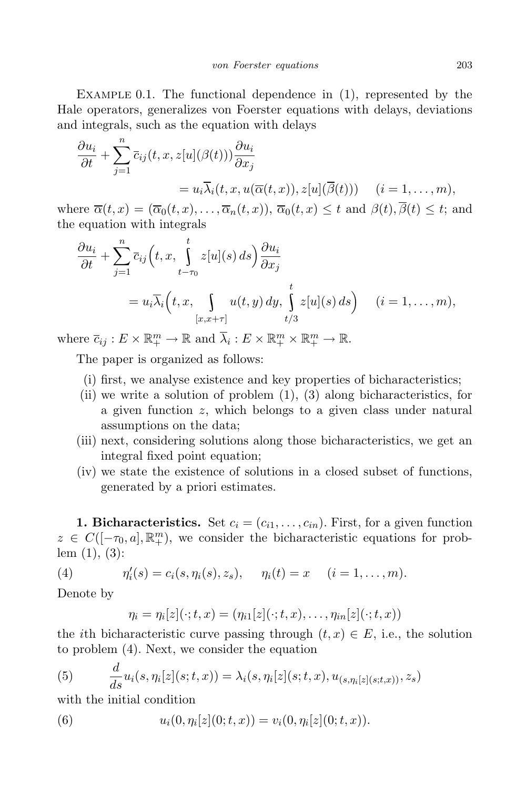EXAMPLE 0.1. The functional dependence in  $(1)$ , represented by the Hale operators, generalizes von Foerster equations with delays, deviations and integrals, such as the equation with delays

$$
\frac{\partial u_i}{\partial t} + \sum_{j=1}^n \overline{c}_{ij}(t, x, z[u](\beta(t))) \frac{\partial u_i}{\partial x_j}
$$
  
=  $u_i \overline{\lambda}_i(t, x, u(\overline{\alpha}(t, x)), z[u](\overline{\beta}(t)))$  (*i* = 1, ..., *m*),

where  $\overline{\alpha}(t,x) = (\overline{\alpha}_0(t,x), \ldots, \overline{\alpha}_n(t,x)), \overline{\alpha}_0(t,x) \leq t$  and  $\beta(t), \overline{\beta}(t) \leq t$ ; and the equation with integrals

$$
\frac{\partial u_i}{\partial t} + \sum_{j=1}^n \overline{c}_{ij} \left( t, x, \int_{t-\tau_0}^t z[u](s) ds \right) \frac{\partial u_i}{\partial x_j}
$$
  
=  $u_i \overline{\lambda}_i \left( t, x, \int_{[x,x+\tau]} u(t, y) dy, \int_{t/3}^t z[u](s) ds \right) \quad (i = 1, ..., m),$ 

where  $\overline{c}_{ij}: E \times \mathbb{R}^m_+ \to \mathbb{R}$  and  $\overline{\lambda}_i: E \times \mathbb{R}^m_+ \times \mathbb{R}^m_+ \to \mathbb{R}$ .

The paper is organized as follows:

- (i) first, we analyse existence and key properties of bicharacteristics;
- (ii) we write a solution of problem  $(1)$ ,  $(3)$  along bicharacteristics, for a given function *z*, which belongs to a given class under natural assumptions on the data;
- (iii) next, considering solutions along those bicharacteristics, we get an integral fixed point equation;
- (iv) we state the existence of solutions in a closed subset of functions, generated by a priori estimates.

**1. Bicharacteristics.** Set  $c_i = (c_{i1}, \ldots, c_{in})$ . First, for a given function  $z \in C([-τ<sub>0</sub>, a], \mathbb{R}_{+}^{m})$ , we consider the bicharacteristic equations for problem (1), (3):

(4) 
$$
\eta'_i(s) = c_i(s, \eta_i(s), z_s), \quad \eta_i(t) = x \quad (i = 1, ..., m).
$$

Denote by

$$
\eta_i = \eta_i[z](\cdot;t,x) = (\eta_{i1}[z](\cdot;t,x),\ldots,\eta_{in}[z](\cdot;t,x))
$$

the *i*th bicharacteristic curve passing through  $(t, x) \in E$ , i.e., the solution to problem (4). Next, we consider the equation

(5) 
$$
\frac{d}{ds}u_i(s, \eta_i[z](s; t, x)) = \lambda_i(s, \eta_i[z](s; t, x), u_{(s, \eta_i[z](s; t, x))}, z_s)
$$

with the initial condition

(6) 
$$
u_i(0, \eta_i[z](0; t, x)) = v_i(0, \eta_i[z](0; t, x)).
$$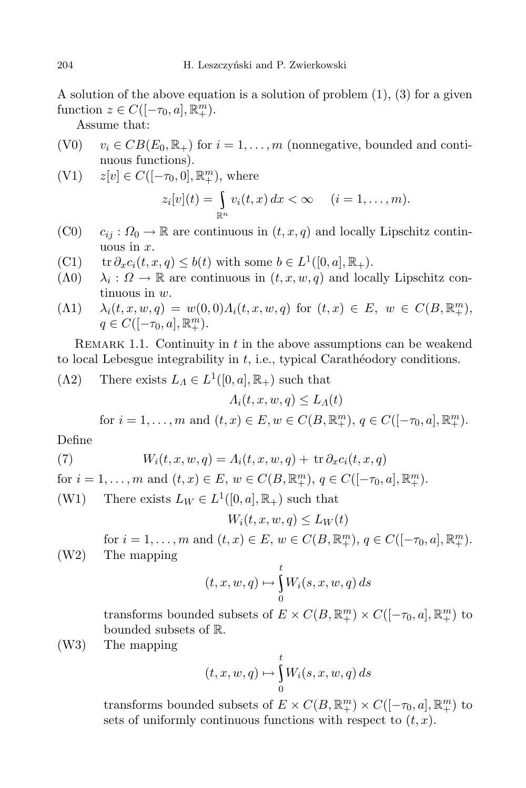A solution of the above equation is a solution of problem (1), (3) for a given  $function z \in C([-\tau_0, a], \mathbb{R}^m_+).$ 

Assume that:

- (V0)  $v_i \in CB(E_0, \mathbb{R}_+)$  for  $i = 1, \ldots, m$  (nonnegative, bounded and continuous functions).
- (V1)  $z[v] \in C([-\tau_0, 0], \mathbb{R}^m_+)$ , where

$$
z_i[v](t) = \int_{\mathbb{R}^n} v_i(t, x) dx < \infty \quad (i = 1, \dots, m).
$$

- $(C0)$   $c_{ij}: \Omega_0 \to \mathbb{R}$  are continuous in  $(t, x, q)$  and locally Lipschitz continuous in *x*.
- (C1) tr  $\partial_x c_i(t, x, q) \leq b(t)$  with some  $b \in L^1([0, a], \mathbb{R}_+).$
- (Λ0) *λ<sup>i</sup>*  $\lambda_i$ :  $\Omega \to \mathbb{R}$  are continuous in  $(t, x, w, q)$  and locally Lipschitz continuous in *w*.
- (A1)  $\lambda_i(t, x, w, q) = w(0, 0) \Lambda_i(t, x, w, q)$  for  $(t, x) \in E$ ,  $w \in C(B, \mathbb{R}^m_+),$  $q \in C([-\tau_0, a], \mathbb{R}^m_+).$

REMARK 1.1. Continuity in *t* in the above assumptions can be weakend to local Lebesgue integrability in *t*, i.e., typical Carathéodory conditions.

$$
(\Lambda 2) \quad \text{There exists } L_A \in L^1([0, a], \mathbb{R}_+) \text{ such that}
$$

$$
\Lambda_i(t, x, w, q) \le L_\Lambda(t)
$$

for  $i = 1, ..., m$  and  $(t, x) \in E, w \in C(B, \mathbb{R}^m_+), q \in C([-\tau_0, a], \mathbb{R}^m_+).$ 

Define

(7) 
$$
W_i(t, x, w, q) = A_i(t, x, w, q) + \operatorname{tr} \partial_x c_i(t, x, q)
$$

for  $i = 1, ..., m$  and  $(t, x) \in E$ ,  $w \in C(B, \mathbb{R}^m_+)$ ,  $q \in C([-\tau_0, a], \mathbb{R}^m_+)$ .

(W1) There exists  $L_W \in L^1([0, a], \mathbb{R}_+)$  such that

$$
W_i(t, x, w, q) \le L_W(t)
$$

for  $i = 1, ..., m$  and  $(t, x) \in E$ ,  $w \in C(B, \mathbb{R}^m_+)$ ,  $q \in C([-{\tau_0, a}], \mathbb{R}^m_+)$ . (W2) The mapping

$$
(t, x, w, q) \mapsto \int_{0}^{t} W_i(s, x, w, q) ds
$$

transforms bounded subsets of  $E \times C(B, \mathbb{R}^m_+) \times C([-{\tau_0, a}], \mathbb{R}^m_+)$  to bounded subsets of R.

(W3) The mapping

$$
(t, x, w, q) \mapsto \int_{0}^{t} W_i(s, x, w, q) ds
$$

transforms bounded subsets of  $E \times C(B, \mathbb{R}^m_+) \times C([-\tau_0, a], \mathbb{R}^m_+)$  to sets of uniformly continuous functions with respect to  $(t, x)$ .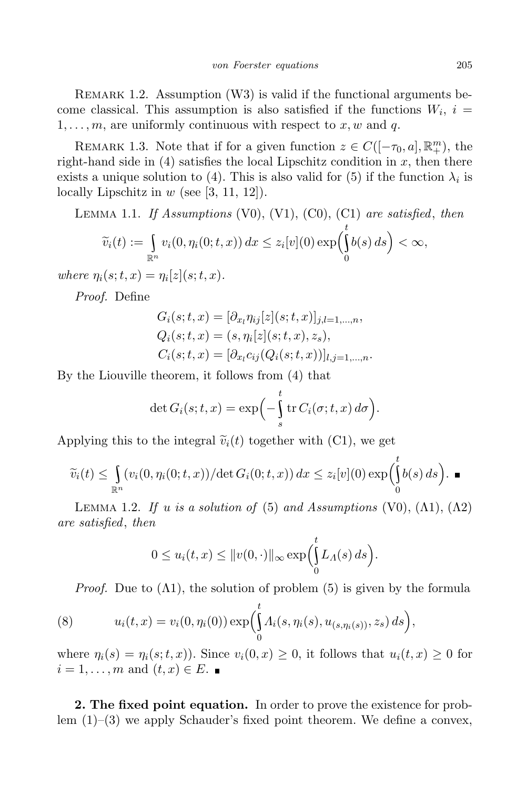REMARK 1.2. Assumption (W3) is valid if the functional arguments become classical. This assumption is also satisfied if the functions  $W_i$ ,  $i =$  $1, \ldots, m$ , are uniformly continuous with respect to x, w and q.

REMARK 1.3. Note that if for a given function  $z \in C([-\tau_0, a], \mathbb{R}^m_+)$ , the right-hand side in  $(4)$  satisfies the local Lipschitz condition in x, then there exists a unique solution to (4). This is also valid for (5) if the function  $\lambda_i$  is locally Lipschitz in *w* (see [3, 11, 12]).

Lemma 1.1. *If Assumptions* (V0), (V1), (C0), (C1) *are satisfied*, *then*

$$
\widetilde{v}_i(t) := \int_{\mathbb{R}^n} v_i(0, \eta_i(0; t, x)) dx \leq z_i[v](0) \exp\left(\int_0^t b(s) ds\right) < \infty,
$$

 $where \eta_i(s; t, x) = \eta_i[z](s; t, x).$ 

*Proof.* Define

$$
G_i(s; t, x) = [\partial_{x_l} \eta_{ij}[z](s; t, x)]_{j,l=1,...,n},
$$
  
\n
$$
Q_i(s; t, x) = (s, \eta_i[z](s; t, x), z_s),
$$
  
\n
$$
C_i(s; t, x) = [\partial_{x_l} c_{ij}(Q_i(s; t, x))]_{l,j=1,...,n}.
$$

By the Liouville theorem, it follows from (4) that

$$
\det G_i(s;t,x) = \exp\left(-\int_s^t \operatorname{tr} C_i(\sigma;t,x) d\sigma\right).
$$

Applying this to the integral  $\tilde{v}_i(t)$  together with (C1), we get

$$
\widetilde{v}_i(t) \leq \int_{\mathbb{R}^n} (v_i(0, \eta_i(0; t, x)) / \det G_i(0; t, x)) dx \leq z_i[v](0) \exp \left( \int_0^t b(s) ds \right).
$$

LEMMA 1.2. *If u is a solution of* (5) *and Assumptions* (V0), ( $\Lambda$ 1), ( $\Lambda$ 2) *are satisfied*, *then*

$$
0 \le u_i(t,x) \le ||v(0,\cdot)||_{\infty} \exp \left(\int_0^t L_{\Lambda}(s) \, ds\right).
$$

*Proof.* Due to  $(\Lambda 1)$ , the solution of problem  $(5)$  is given by the formula

(8) 
$$
u_i(t,x) = v_i(0,\eta_i(0)) \exp \left( \int_0^t \Lambda_i(s,\eta_i(s), u_{(s,\eta_i(s))}, z_s) ds \right),
$$

where  $\eta_i(s) = \eta_i(s; t, x)$ . Since  $v_i(0, x) \geq 0$ , it follows that  $u_i(t, x) \geq 0$  for  $i = 1, \ldots, m$  and  $(t, x) \in E$ .

**2. The fixed point equation.** In order to prove the existence for problem  $(1)$ – $(3)$  we apply Schauder's fixed point theorem. We define a convex,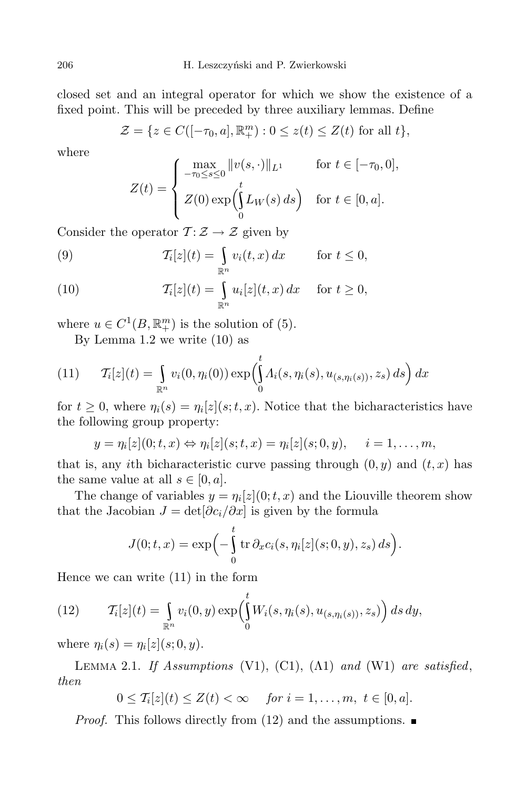closed set and an integral operator for which we show the existence of a fixed point. This will be preceded by three auxiliary lemmas. Define

$$
\mathcal{Z} = \{ z \in C([-\tau_0, a], \mathbb{R}_+^m) : 0 \le z(t) \le Z(t) \text{ for all } t \},
$$

where

$$
Z(t) = \begin{cases} \max_{-\tau_0 \le s \le 0} ||v(s, \cdot)||_{L^1} & \text{for } t \in [-\tau_0, 0], \\ Z(0) \exp\left(\int_0^t L_W(s) \, ds\right) & \text{for } t \in [0, a]. \end{cases}
$$

Consider the operator  $\mathcal{T} : \mathcal{Z} \to \mathcal{Z}$  given by

(9) 
$$
\mathcal{T}_i[z](t) = \int_{\mathbb{R}^n} v_i(t,x) dx \quad \text{for } t \leq 0,
$$

(10) 
$$
\mathcal{T}_i[z](t) = \int_{\mathbb{R}^n} u_i[z](t,x) dx \quad \text{for } t \geq 0,
$$

where  $u \in C^1(B, \mathbb{R}^m_+)$  is the solution of (5).

By Lemma 1.2 we write (10) as

(11) 
$$
\mathcal{T}_i[z](t) = \int_{\mathbb{R}^n} v_i(0, \eta_i(0)) \exp \left( \int_0^t \Lambda_i(s, \eta_i(s), u_{(s, \eta_i(s))}, z_s) ds \right) dx
$$

for  $t \geq 0$ , where  $\eta_i(s) = \eta_i[z](s; t, x)$ . Notice that the bicharacteristics have the following group property:

$$
y = \eta_i[z](0; t, x) \Leftrightarrow \eta_i[z](s; t, x) = \eta_i[z](s; 0, y), \quad i = 1, \ldots, m,
$$

that is, any *i*th bicharacteristic curve passing through  $(0, y)$  and  $(t, x)$  has the same value at all  $s \in [0, a]$ .

The change of variables  $y = \eta_i[z](0; t, x)$  and the Liouville theorem show that the Jacobian  $J = det[\partial c_i/\partial x]$  is given by the formula

$$
J(0;t,x) = \exp\left(-\int_0^t \operatorname{tr} \partial_x c_i(s,\eta_i[z](s;0,y),z_s)\,ds\right).
$$

Hence we can write (11) in the form

(12) 
$$
\mathcal{T}_i[z](t) = \int_{\mathbb{R}^n} v_i(0, y) \exp\left(\int_0^t W_i(s, \eta_i(s), u_{(s, \eta_i(s))}, z_s)\right) ds dy,
$$

where  $\eta_i(s) = \eta_i[z](s; 0, y)$ .

Lemma 2.1. *If Assumptions* (V1), (C1), (Λ1) *and* (W1) *are satisfied*, *then*

$$
0 \leq \mathcal{T}_i[z](t) \leq Z(t) < \infty \quad \text{for } i = 1, \dots, m, \ t \in [0, a].
$$

*Proof.* This follows directly from (12) and the assumptions. ■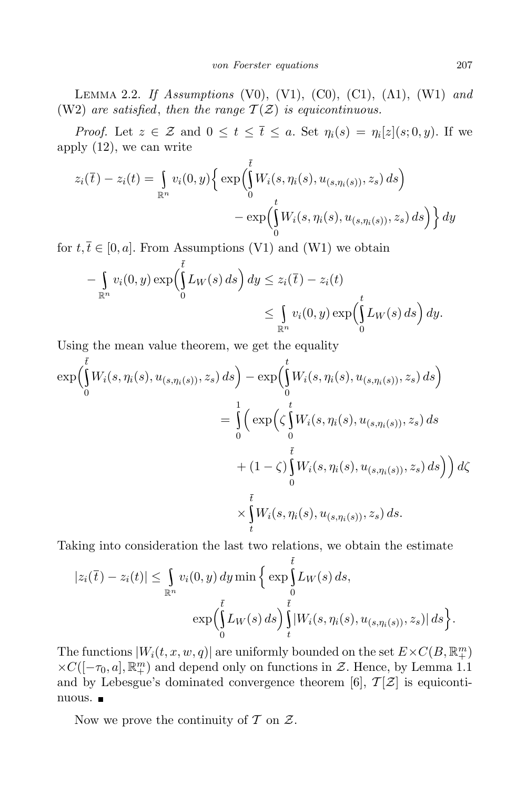Lemma 2.2. *If Assumptions* (V0), (V1), (C0), (C1), (Λ1), (W1) *and* (W2) *are satisfied*, *then the range*  $\mathcal{T}(\mathcal{Z})$  *is equicontinuous.* 

*Proof.* Let  $z \in \mathcal{Z}$  and  $0 \le t \le \overline{t} \le a$ . Set  $\eta_i(s) = \eta_i[z](s; 0, y)$ . If we apply (12), we can write

$$
z_i(\overline{t}) - z_i(t) = \int_{\mathbb{R}^n} v_i(0, y) \left\{ \exp\left(\int_0^t W_i(s, \eta_i(s), u_{(s, \eta_i(s))}, z_s) ds\right) - \exp\left(\int_0^t W_i(s, \eta_i(s), u_{(s, \eta_i(s))}, z_s) ds\right) \right\} dy
$$

for  $t, \overline{t} \in [0, a]$ . From Assumptions (V1) and (W1) we obtain

$$
-\int_{\mathbb{R}^n} v_i(0, y) \exp\left(\int_0^{\overline{t}} L_W(s) ds\right) dy \le z_i(\overline{t}) - z_i(t)
$$
  

$$
\le \int_{\mathbb{R}^n} v_i(0, y) \exp\left(\int_0^t L_W(s) ds\right) dy.
$$

Using the mean value theorem, we get the equality

$$
\exp\left(\int_{0}^{t} W_{i}(s,\eta_{i}(s),u_{(s,\eta_{i}(s))},z_{s}) ds\right) - \exp\left(\int_{0}^{t} W_{i}(s,\eta_{i}(s),u_{(s,\eta_{i}(s))},z_{s}) ds\right)
$$
  

$$
= \int_{0}^{t} \left(\exp\left(\zeta \int_{0}^{t} W_{i}(s,\eta_{i}(s),u_{(s,\eta_{i}(s))},z_{s}) ds\right) + (1-\zeta) \int_{0}^{\overline{t}} W_{i}(s,\eta_{i}(s),u_{(s,\eta_{i}(s))},z_{s}) ds\right)\right) d\zeta
$$
  

$$
\times \int_{t}^{\overline{t}} W_{i}(s,\eta_{i}(s),u_{(s,\eta_{i}(s))},z_{s}) ds.
$$

Taking into consideration the last two relations, we obtain the estimate

$$
|z_i(\overline{t}) - z_i(t)| \leq \int_{\mathbb{R}^n} v_i(0, y) dy \min \left\{ \exp \int_0^{\overline{t}} L_W(s) ds, \right. \\ \left. \exp \left( \int_0^{\overline{t}} L_W(s) ds \right) \int_t^{\overline{t}} |W_i(s, \eta_i(s), u_{(s, \eta_i(s))}, z_s)| ds \right\}.
$$

The functions  $|W_i(t, x, w, q)|$  are uniformly bounded on the set  $E \times C(B, \mathbb{R}^m)$  $\times$ *C*([−*τ*<sub>0</sub>*, a*]*,*  $\mathbb{R}^m_+$ ) and depend only on functions in *Z*. Hence, by Lemma 1.1 and by Lebesgue's dominated convergence theorem [6],  $\mathcal{T}[\mathcal{Z}]$  is equicontinuous.

Now we prove the continuity of *T* on *Z*.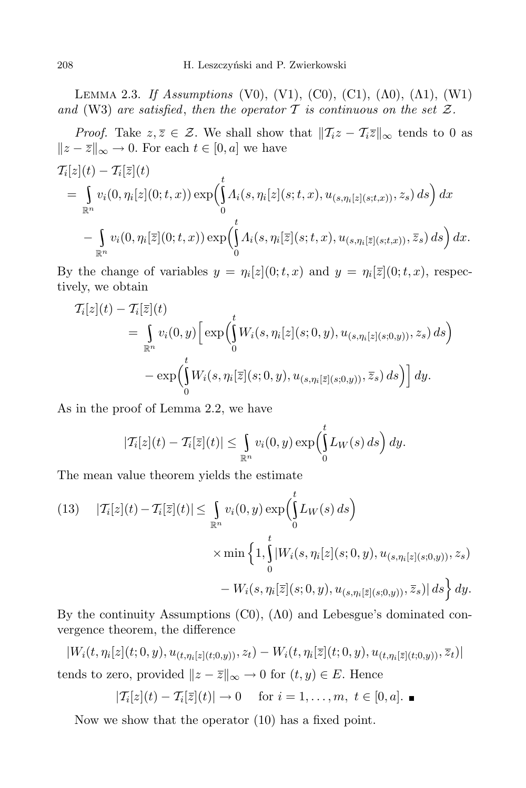Lemma 2.3. *If Assumptions* (V0), (V1), (C0), (C1), (Λ0), (Λ1), (W1) *and* (W3) are *satisfied*, *then the operator*  $T$  *is continuous on the set*  $Z$ *.* 

*Proof.* Take  $z, \overline{z} \in \mathcal{Z}$ . We shall show that  $||T_i z - T_i \overline{z}||_{\infty}$  tends to 0 as  $\|z - \overline{z}\|_{\infty}$  → 0. For each  $t \in [0, a]$  we have

$$
T_i[z](t) - T_i[\overline{z}](t)
$$
  
\n
$$
= \int_{\mathbb{R}^n} v_i(0, \eta_i[z](0; t, x)) \exp\left(\int_0^t \Lambda_i(s, \eta_i[z](s; t, x), u_{(s, \eta_i[z](s; t, x)), z_s}) ds\right) dx
$$
  
\n
$$
- \int_{\mathbb{R}^n} v_i(0, \eta_i[\overline{z}](0; t, x)) \exp\left(\int_0^t \Lambda_i(s, \eta_i[\overline{z}](s; t, x), u_{(s, \eta_i[\overline{z}](s; t, x)), \overline{z}_s}) ds\right) dx.
$$

By the change of variables  $y = \eta_i[z](0; t, x)$  and  $y = \eta_i[\overline{z}](0; t, x)$ , respectively, we obtain

$$
T_i[z](t) - T_i[\bar{z}](t) = \int_{\mathbb{R}^n} v_i(0, y) \left[ \exp \left( \int_0^t W_i(s, \eta_i[z](s; 0, y), u_{(s, \eta_i[z](s; 0, y))}, z_s) ds \right) \right. \\ - \exp \left( \int_0^t W_i(s, \eta_i[\bar{z}](s; 0, y), u_{(s, \eta_i[\bar{z}](s; 0, y))}, \bar{z}_s) ds \right) \right] dy.
$$

As in the proof of Lemma 2.2, we have

$$
|\mathcal{T}_i[z](t) - \mathcal{T}_i[\overline{z}](t)| \leq \int_{\mathbb{R}^n} v_i(0, y) \exp\left(\int_0^t L_W(s) \, ds\right) dy.
$$

The mean value theorem yields the estimate

(13) 
$$
|T_i[z](t) - T_i[\overline{z}](t)| \leq \int_{\mathbb{R}^n} v_i(0, y) \exp\left(\int_0^t L_W(s) ds\right)
$$

$$
\times \min\left\{1, \int_0^t |W_i(s, \eta_i[z](s; 0, y), u_{(s, \eta_i[z](s; 0, y))}, z_s) - W_i(s, \eta_i[\overline{z}](s; 0, y), u_{(s, \eta_i[\overline{z}](s; 0, y))}, \overline{z}_s)| ds\right\} dy.
$$

By the continuity Assumptions (C0), (Λ0) and Lebesgue's dominated convergence theorem, the difference

 $|W_i(t, \eta_i[z](t;0,y), u_{(t,\eta_i[z](t;0,y))}, z_t) - W_i(t, \eta_i[\overline{z}](t;0,y), u_{(t,\eta_i[\overline{z}](t;0,y))}, \overline{z}_t)|$ tends to zero, provided  $\|z - \overline{z}\|_{\infty} \to 0$  for  $(t, y) \in E$ . Hence

$$
|\mathcal{T}_i[z](t) - \mathcal{T}_i[\overline{z}](t)| \to 0 \quad \text{ for } i = 1,\ldots,m, t \in [0,a]. \blacksquare
$$

Now we show that the operator (10) has a fixed point.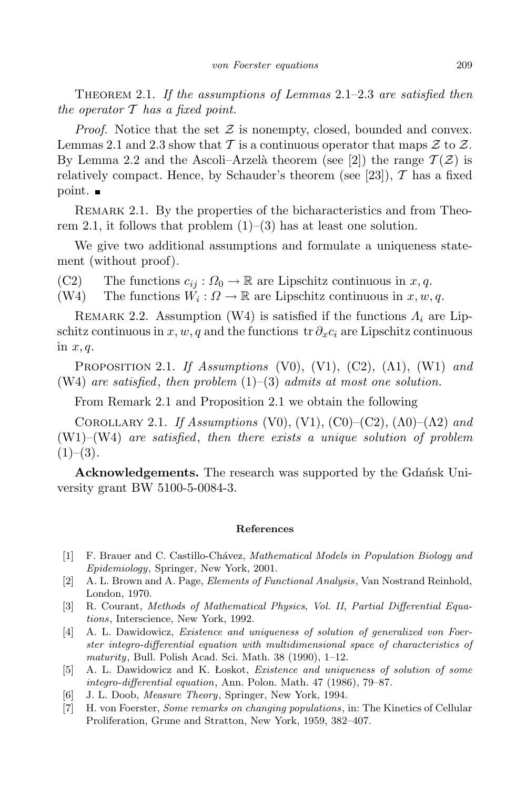Theorem 2.1. *If the assumptions of Lemmas* 2.1–2.3 *are satisfied then the operator T has a fixed point.*

*Proof.* Notice that the set *Z* is nonempty, closed, bounded and convex. Lemmas 2.1 and 2.3 show that  $\mathcal T$  is a continuous operator that maps  $\mathcal Z$  to  $\mathcal Z$ . By Lemma 2.2 and the Ascoli–Arzelà theorem (see [2]) the range  $\mathcal{T}(\mathcal{Z})$  is relatively compact. Hence, by Schauder's theorem (see [23]),  $\mathcal{T}$  has a fixed point.  $\blacksquare$ 

Remark 2.1. By the properties of the bicharacteristics and from Theorem 2.1, it follows that problem  $(1)$ – $(3)$  has at least one solution.

We give two additional assumptions and formulate a uniqueness statement (without proof).

(C2) The functions  $c_{ij}: \Omega_0 \to \mathbb{R}$  are Lipschitz continuous in *x*, *q*.<br>(W4) The functions  $W_i: \Omega \to \mathbb{R}$  are Lipschitz continuous in *x*, *w*.

(W4) The functions  $W_i: \Omega \to \mathbb{R}$  are Lipschitz continuous in  $x, w, q$ .

REMARK 2.2. Assumption (W4) is satisfied if the functions  $\Lambda_i$  are Lipschitz continuous in  $x, w, q$  and the functions tr $\partial_x c_i$  are Lipschitz continuous in *x, q*.

Proposition 2.1. *If Assumptions* (V0), (V1), (C2), (Λ1), (W1) *and* (W4) *are satisfied*, *then problem* (1)–(3) *admits at most one solution.*

From Remark 2.1 and Proposition 2.1 we obtain the following

Corollary 2.1. *If Assumptions* (V0), (V1), (C0)–(C2), (Λ0)–(Λ2) *and* (W1)–(W4) *are satisfied*, *then there exists a unique solution of problem* (1)–(3)*.*

**Acknowledgements.** The research was supported by the Gdańsk University grant BW 5100-5-0084-3.

## **References**

- [1] F. Brauer and C. Castillo-Ch´avez, *Mathematical Models in Population Biology and Epidemiology*, Springer, New York, 2001.
- [2] A. L. Brown and A. Page, *Elements of Functional Analysis*, Van Nostrand Reinhold, London, 1970.
- [3] R. Courant, *Methods of Mathematical Physics*, *Vol. II*, *Partial Differential Equations*, Interscience, New York, 1992.
- [4] A. L. Dawidowicz, *Existence and uniqueness of solution of generalized von Foerster integro-differential equation with multidimensional space of characteristics of maturity*, Bull. Polish Acad. Sci. Math. 38 (1990), 1–12.
- [5] A. L. Dawidowicz and K. Łoskot, *Existence and uniqueness of solution of some integro-differential equation*, Ann. Polon. Math. 47 (1986), 79–87.
- [6] J. L. Doob, *Measure Theory*, Springer, New York, 1994.
- [7] H. von Foerster, *Some remarks on changing populations*, in: The Kinetics of Cellular Proliferation, Grune and Stratton, New York, 1959, 382–407.